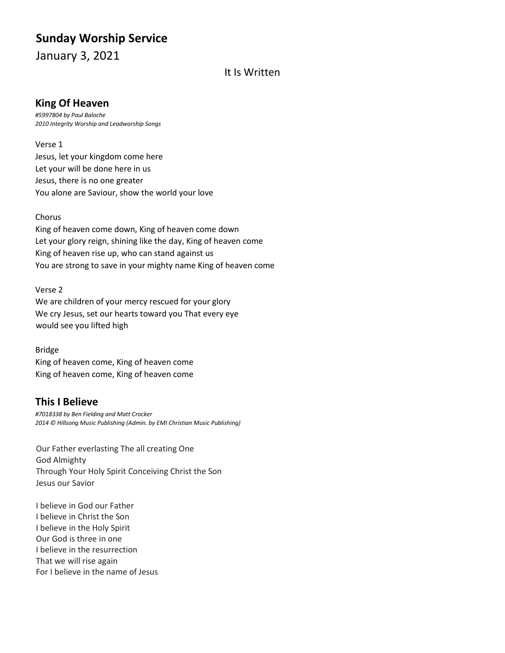# **Sunday Worship Service**

January 3, 2021

## It Is Written

# **King Of Heaven**

*#5997804 by Paul Baloche 2010 Integrity Worship and Leadworship Songs*

## Verse 1

Jesus, let your kingdom come here Let your will be done here in us Jesus, there is no one greater You alone are Saviour, show the world your love

## Chorus

King of heaven come down, King of heaven come down Let your glory reign, shining like the day, King of heaven come King of heaven rise up, who can stand against us You are strong to save in your mighty name King of heaven come

## Verse 2

We are children of your mercy rescued for your glory We cry Jesus, set our hearts toward you That every eye would see you lifted high

## Bridge

King of heaven come, King of heaven come King of heaven come, King of heaven come

# **This I Believe**

*#7018338 by Ben Fielding and Matt Crocker 2014 © Hillsong Music Publishing (Admin. by EMI Christian Music Publishing)*

Our Father everlasting The all creating One God Almighty Through Your Holy Spirit Conceiving Christ the Son Jesus our Savior

I believe in God our Father I believe in Christ the Son I believe in the Holy Spirit Our God is three in one I believe in the resurrection That we will rise again For I believe in the name of Jesus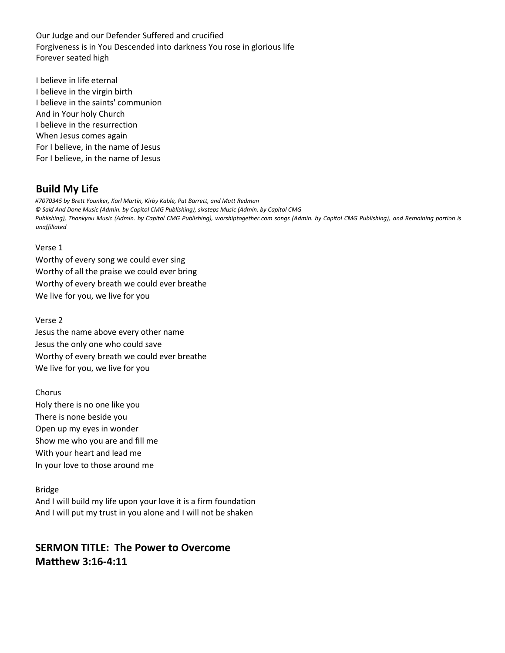Our Judge and our Defender Suffered and crucified Forgiveness is in You Descended into darkness You rose in glorious life Forever seated high

I believe in life eternal I believe in the virgin birth I believe in the saints' communion And in Your holy Church I believe in the resurrection When Jesus comes again For I believe, in the name of Jesus For I believe, in the name of Jesus

# **Build My Life**

*#7070345 by Brett Younker, Karl Martin, Kirby Kable, Pat Barrett, and Matt Redman © Said And Done Music (Admin. by Capitol CMG Publishing), sixsteps Music (Admin. by Capitol CMG Publishing), Thankyou Music (Admin. by Capitol CMG Publishing), worshiptogether.com songs (Admin. by Capitol CMG Publishing), and Remaining portion is unaffiliated*

## Verse 1

Worthy of every song we could ever sing Worthy of all the praise we could ever bring Worthy of every breath we could ever breathe We live for you, we live for you

Verse 2

Jesus the name above every other name Jesus the only one who could save Worthy of every breath we could ever breathe We live for you, we live for you

Chorus

Holy there is no one like you There is none beside you Open up my eyes in wonder Show me who you are and fill me With your heart and lead me In your love to those around me

## Bridge

And I will build my life upon your love it is a firm foundation And I will put my trust in you alone and I will not be shaken

# **SERMON TITLE: The Power to Overcome Matthew 3:16-4:11**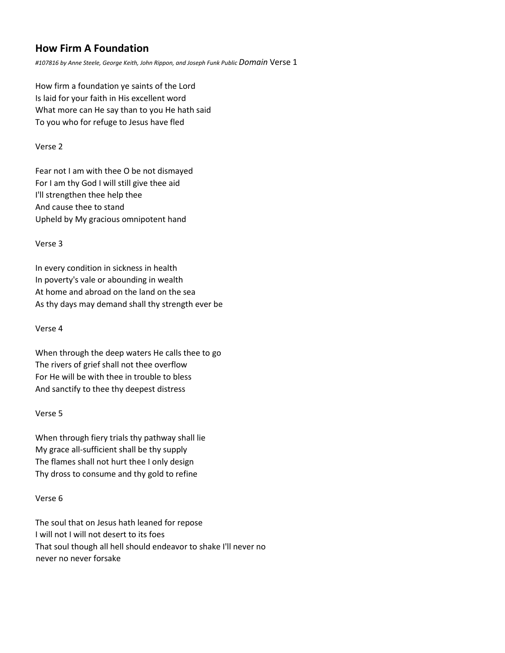# **How Firm A Foundation**

*#107816 by Anne Steele, George Keith, John Rippon, and Joseph Funk Public Domain* Verse 1

How firm a foundation ye saints of the Lord Is laid for your faith in His excellent word What more can He say than to you He hath said To you who for refuge to Jesus have fled

#### Verse 2

Fear not I am with thee O be not dismayed For I am thy God I will still give thee aid I'll strengthen thee help thee And cause thee to stand Upheld by My gracious omnipotent hand

#### Verse 3

In every condition in sickness in health In poverty's vale or abounding in wealth At home and abroad on the land on the sea As thy days may demand shall thy strength ever be

#### Verse 4

When through the deep waters He calls thee to go The rivers of grief shall not thee overflow For He will be with thee in trouble to bless And sanctify to thee thy deepest distress

#### Verse 5

When through fiery trials thy pathway shall lie My grace all-sufficient shall be thy supply The flames shall not hurt thee I only design Thy dross to consume and thy gold to refine

## Verse 6

The soul that on Jesus hath leaned for repose I will not I will not desert to its foes That soul though all hell should endeavor to shake I'll never no never no never forsake